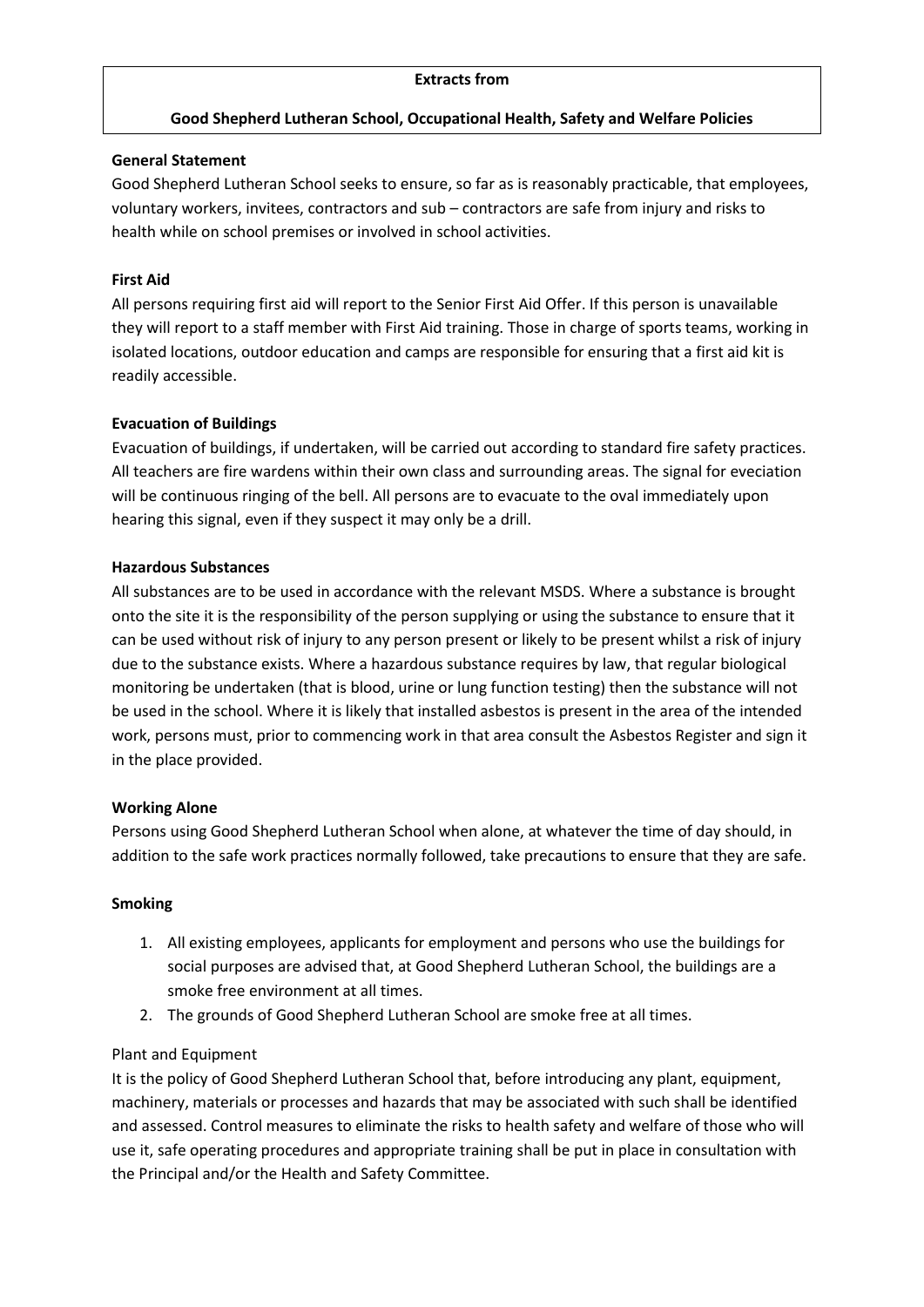#### **Extracts from**

#### **Good Shepherd Lutheran School, Occupational Health, Safety and Welfare Policies**

#### **General Statement**

Good Shepherd Lutheran School seeks to ensure, so far as is reasonably practicable, that employees, voluntary workers, invitees, contractors and sub – contractors are safe from injury and risks to health while on school premises or involved in school activities.

#### **First Aid**

All persons requiring first aid will report to the Senior First Aid Offer. If this person is unavailable they will report to a staff member with First Aid training. Those in charge of sports teams, working in isolated locations, outdoor education and camps are responsible for ensuring that a first aid kit is readily accessible.

#### **Evacuation of Buildings**

Evacuation of buildings, if undertaken, will be carried out according to standard fire safety practices. All teachers are fire wardens within their own class and surrounding areas. The signal for eveciation will be continuous ringing of the bell. All persons are to evacuate to the oval immediately upon hearing this signal, even if they suspect it may only be a drill.

#### **Hazardous Substances**

All substances are to be used in accordance with the relevant MSDS. Where a substance is brought onto the site it is the responsibility of the person supplying or using the substance to ensure that it can be used without risk of injury to any person present or likely to be present whilst a risk of injury due to the substance exists. Where a hazardous substance requires by law, that regular biological monitoring be undertaken (that is blood, urine or lung function testing) then the substance will not be used in the school. Where it is likely that installed asbestos is present in the area of the intended work, persons must, prior to commencing work in that area consult the Asbestos Register and sign it in the place provided.

#### **Working Alone**

Persons using Good Shepherd Lutheran School when alone, at whatever the time of day should, in addition to the safe work practices normally followed, take precautions to ensure that they are safe.

#### **Smoking**

- 1. All existing employees, applicants for employment and persons who use the buildings for social purposes are advised that, at Good Shepherd Lutheran School, the buildings are a smoke free environment at all times.
- 2. The grounds of Good Shepherd Lutheran School are smoke free at all times.

#### Plant and Equipment

It is the policy of Good Shepherd Lutheran School that, before introducing any plant, equipment, machinery, materials or processes and hazards that may be associated with such shall be identified and assessed. Control measures to eliminate the risks to health safety and welfare of those who will use it, safe operating procedures and appropriate training shall be put in place in consultation with the Principal and/or the Health and Safety Committee.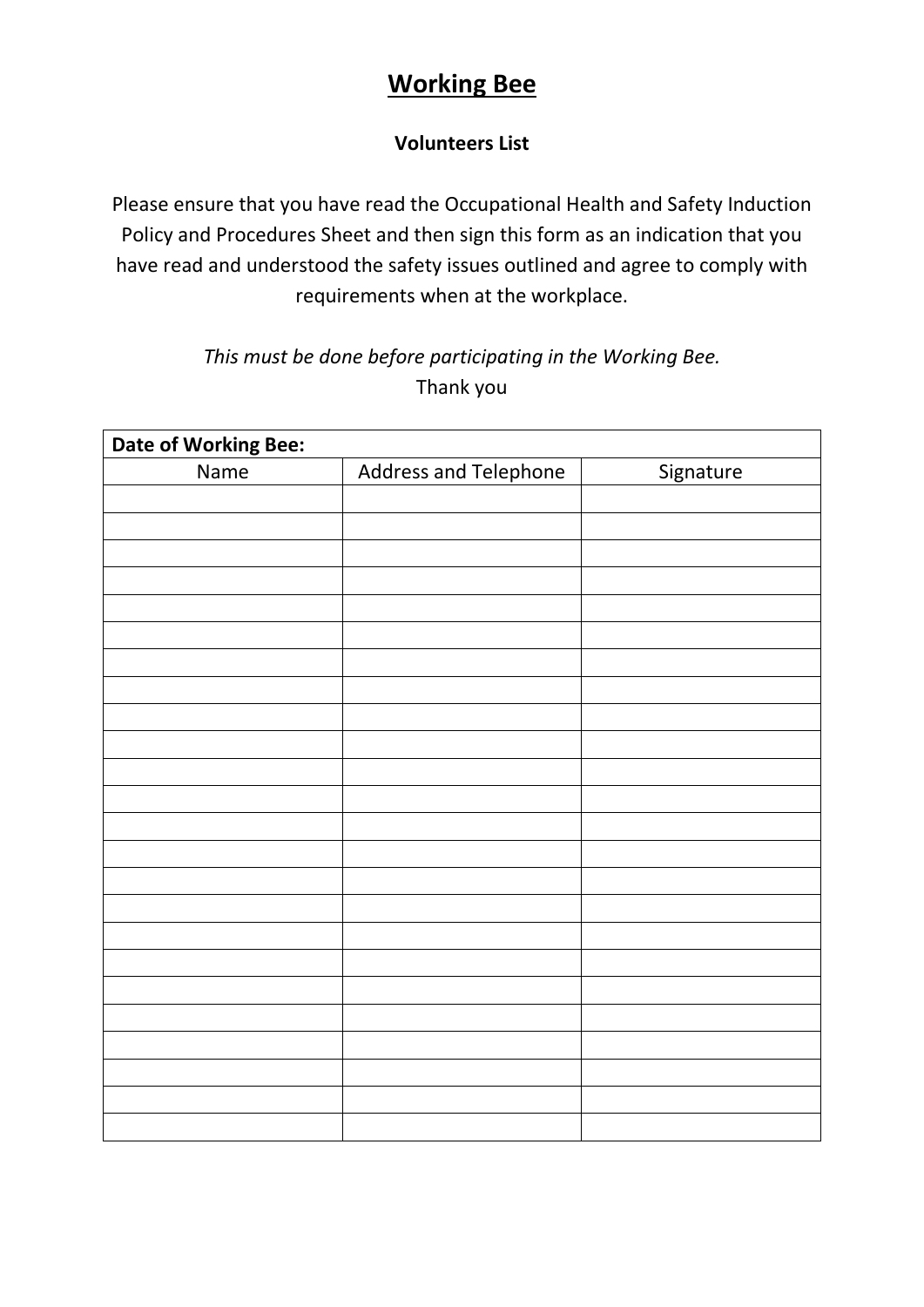## **Working Bee**

### **Volunteers List**

Please ensure that you have read the Occupational Health and Safety Induction Policy and Procedures Sheet and then sign this form as an indication that you have read and understood the safety issues outlined and agree to comply with requirements when at the workplace.

### *This must be done before participating in the Working Bee.* Thank you

| Date of Working Bee: |                       |           |
|----------------------|-----------------------|-----------|
| Name                 | Address and Telephone | Signature |
|                      |                       |           |
|                      |                       |           |
|                      |                       |           |
|                      |                       |           |
|                      |                       |           |
|                      |                       |           |
|                      |                       |           |
|                      |                       |           |
|                      |                       |           |
|                      |                       |           |
|                      |                       |           |
|                      |                       |           |
|                      |                       |           |
|                      |                       |           |
|                      |                       |           |
|                      |                       |           |
|                      |                       |           |
|                      |                       |           |
|                      |                       |           |
|                      |                       |           |
|                      |                       |           |
|                      |                       |           |
|                      |                       |           |
|                      |                       |           |
|                      |                       |           |
|                      |                       |           |